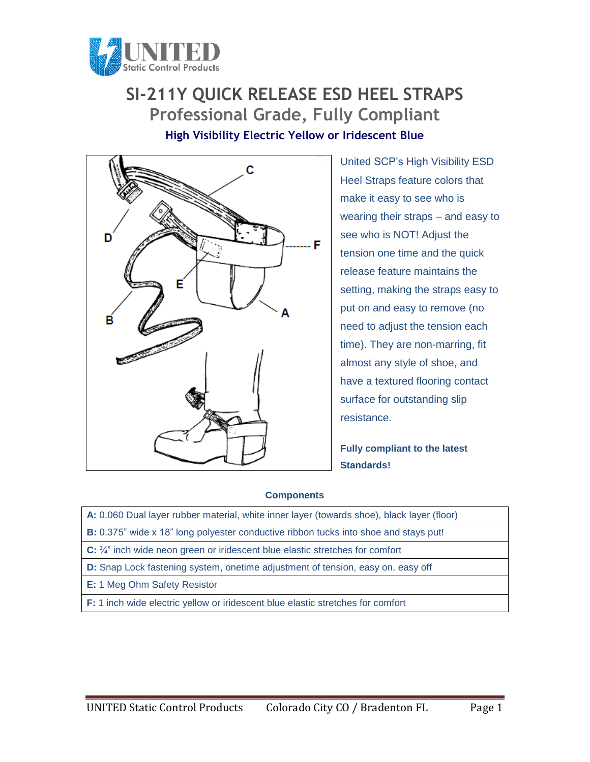

## **SI-211Y QUICK RELEASE ESD HEEL STRAPS Professional Grade, Fully Compliant High Visibility Electric Yellow or Iridescent Blue**



United SCP's High Visibility ESD Heel Straps feature colors that make it easy to see who is wearing their straps – and easy to see who is NOT! Adjust the tension one time and the quick release feature maintains the setting, making the straps easy to put on and easy to remove (no need to adjust the tension each time). They are non-marring, fit almost any style of shoe, and have a textured flooring contact surface for outstanding slip resistance.

**Fully compliant to the latest Standards!**

## **Components**

- **A:** 0.060 Dual layer rubber material, white inner layer (towards shoe), black layer (floor)
- **B:** 0.375" wide x 18" long polyester conductive ribbon tucks into shoe and stays put!
- **C:** ¾" inch wide neon green or iridescent blue elastic stretches for comfort
- **D:** Snap Lock fastening system, onetime adjustment of tension, easy on, easy off
- **E:** 1 Meg Ohm Safety Resistor
- **F:** 1 inch wide electric yellow or iridescent blue elastic stretches for comfort